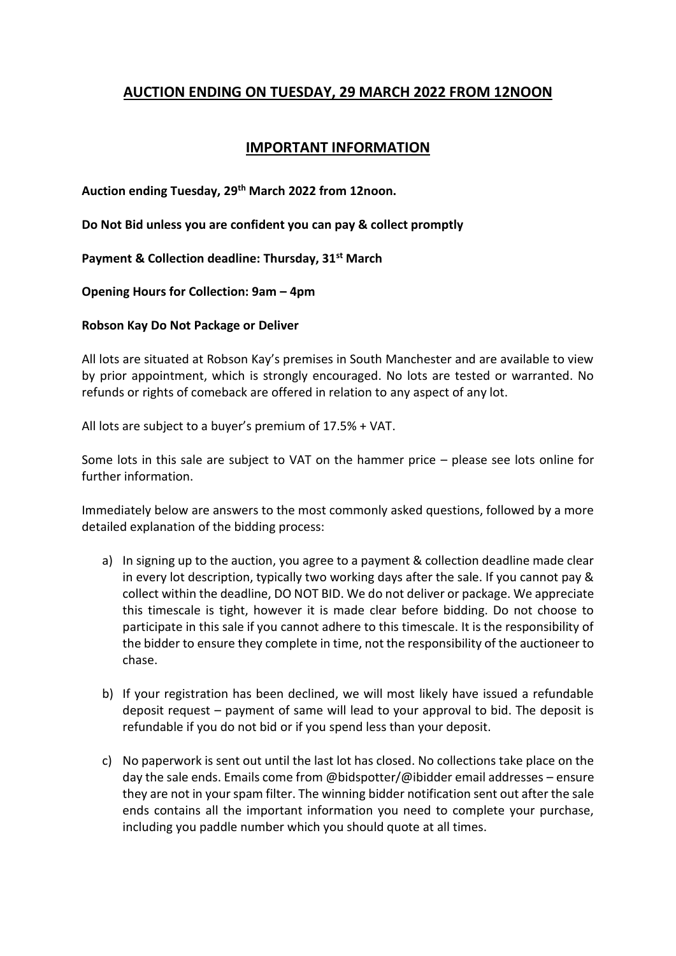# **AUCTION ENDING ON TUESDAY, 29 MARCH 2022 FROM 12NOON**

## **IMPORTANT INFORMATION**

**Auction ending Tuesday, 29th March 2022 from 12noon.**

**Do Not Bid unless you are confident you can pay & collect promptly**

**Payment & Collection deadline: Thursday, 31st March** 

**Opening Hours for Collection: 9am – 4pm**

#### **Robson Kay Do Not Package or Deliver**

All lots are situated at Robson Kay's premises in South Manchester and are available to view by prior appointment, which is strongly encouraged. No lots are tested or warranted. No refunds or rights of comeback are offered in relation to any aspect of any lot.

All lots are subject to a buyer's premium of 17.5% + VAT.

Some lots in this sale are subject to VAT on the hammer price – please see lots online for further information.

Immediately below are answers to the most commonly asked questions, followed by a more detailed explanation of the bidding process:

- a) In signing up to the auction, you agree to a payment & collection deadline made clear in every lot description, typically two working days after the sale. If you cannot pay & collect within the deadline, DO NOT BID. We do not deliver or package. We appreciate this timescale is tight, however it is made clear before bidding. Do not choose to participate in this sale if you cannot adhere to this timescale. It is the responsibility of the bidder to ensure they complete in time, not the responsibility of the auctioneer to chase.
- b) If your registration has been declined, we will most likely have issued a refundable deposit request – payment of same will lead to your approval to bid. The deposit is refundable if you do not bid or if you spend less than your deposit.
- c) No paperwork is sent out until the last lot has closed. No collections take place on the day the sale ends. Emails come from @bidspotter/@ibidder email addresses – ensure they are not in your spam filter. The winning bidder notification sent out after the sale ends contains all the important information you need to complete your purchase, including you paddle number which you should quote at all times.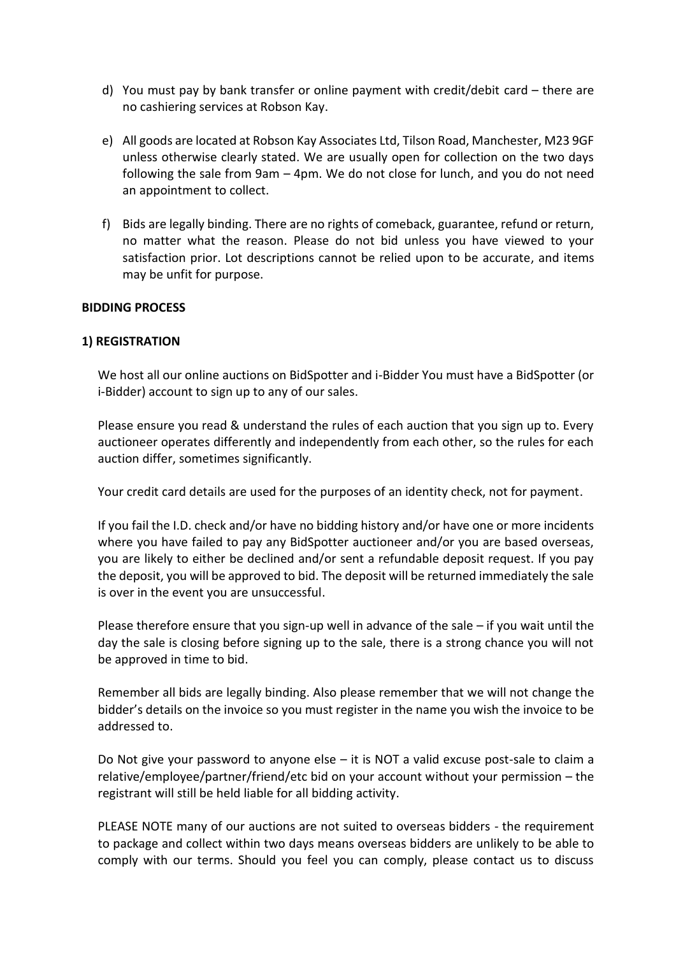- d) You must pay by bank transfer or online payment with credit/debit card there are no cashiering services at Robson Kay.
- e) All goods are located at Robson Kay Associates Ltd, Tilson Road, Manchester, M23 9GF unless otherwise clearly stated. We are usually open for collection on the two days following the sale from 9am – 4pm. We do not close for lunch, and you do not need an appointment to collect.
- f) Bids are legally binding. There are no rights of comeback, guarantee, refund or return, no matter what the reason. Please do not bid unless you have viewed to your satisfaction prior. Lot descriptions cannot be relied upon to be accurate, and items may be unfit for purpose.

#### **BIDDING PROCESS**

#### **1) REGISTRATION**

We host all our online auctions on BidSpotter and i-Bidder You must have a BidSpotter (or i-Bidder) account to sign up to any of our sales.

Please ensure you read & understand the rules of each auction that you sign up to. Every auctioneer operates differently and independently from each other, so the rules for each auction differ, sometimes significantly.

Your credit card details are used for the purposes of an identity check, not for payment.

If you fail the I.D. check and/or have no bidding history and/or have one or more incidents where you have failed to pay any BidSpotter auctioneer and/or you are based overseas, you are likely to either be declined and/or sent a refundable deposit request. If you pay the deposit, you will be approved to bid. The deposit will be returned immediately the sale is over in the event you are unsuccessful.

Please therefore ensure that you sign-up well in advance of the sale – if you wait until the day the sale is closing before signing up to the sale, there is a strong chance you will not be approved in time to bid.

Remember all bids are legally binding. Also please remember that we will not change the bidder's details on the invoice so you must register in the name you wish the invoice to be addressed to.

Do Not give your password to anyone else  $-$  it is NOT a valid excuse post-sale to claim a relative/employee/partner/friend/etc bid on your account without your permission – the registrant will still be held liable for all bidding activity.

PLEASE NOTE many of our auctions are not suited to overseas bidders - the requirement to package and collect within two days means overseas bidders are unlikely to be able to comply with our terms. Should you feel you can comply, please contact us to discuss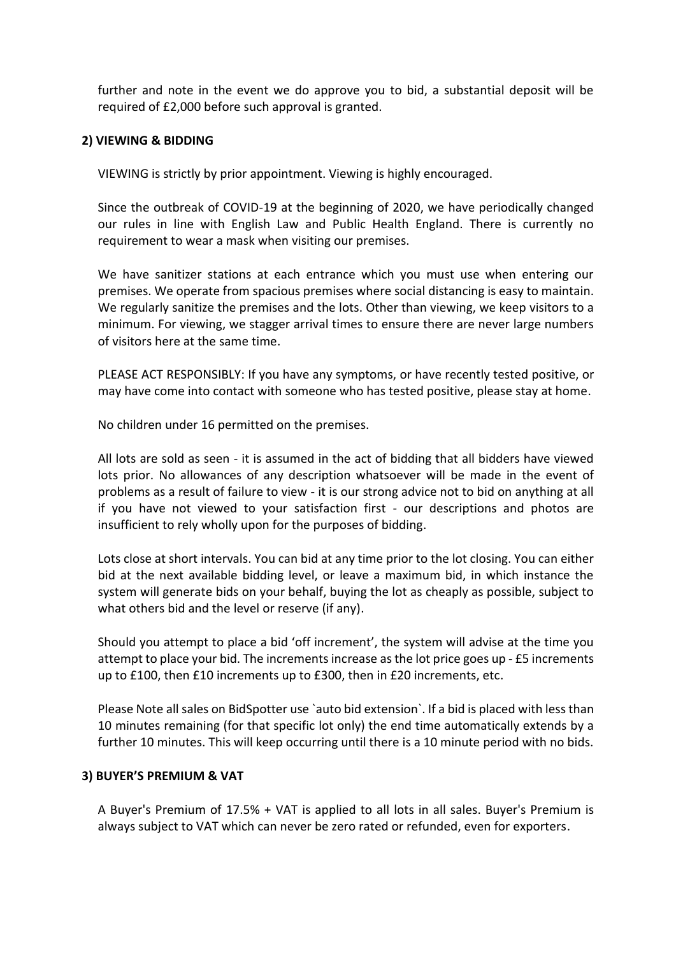further and note in the event we do approve you to bid, a substantial deposit will be required of £2,000 before such approval is granted.

#### **2) VIEWING & BIDDING**

VIEWING is strictly by prior appointment. Viewing is highly encouraged.

Since the outbreak of COVID-19 at the beginning of 2020, we have periodically changed our rules in line with English Law and Public Health England. There is currently no requirement to wear a mask when visiting our premises.

We have sanitizer stations at each entrance which you must use when entering our premises. We operate from spacious premises where social distancing is easy to maintain. We regularly sanitize the premises and the lots. Other than viewing, we keep visitors to a minimum. For viewing, we stagger arrival times to ensure there are never large numbers of visitors here at the same time.

PLEASE ACT RESPONSIBLY: If you have any symptoms, or have recently tested positive, or may have come into contact with someone who has tested positive, please stay at home.

No children under 16 permitted on the premises.

All lots are sold as seen - it is assumed in the act of bidding that all bidders have viewed lots prior. No allowances of any description whatsoever will be made in the event of problems as a result of failure to view - it is our strong advice not to bid on anything at all if you have not viewed to your satisfaction first - our descriptions and photos are insufficient to rely wholly upon for the purposes of bidding.

Lots close at short intervals. You can bid at any time prior to the lot closing. You can either bid at the next available bidding level, or leave a maximum bid, in which instance the system will generate bids on your behalf, buying the lot as cheaply as possible, subject to what others bid and the level or reserve (if any).

Should you attempt to place a bid 'off increment', the system will advise at the time you attempt to place your bid. The increments increase as the lot price goes up - £5 increments up to £100, then £10 increments up to £300, then in £20 increments, etc.

Please Note all sales on BidSpotter use `auto bid extension`. If a bid is placed with less than 10 minutes remaining (for that specific lot only) the end time automatically extends by a further 10 minutes. This will keep occurring until there is a 10 minute period with no bids.

#### **3) BUYER'S PREMIUM & VAT**

A Buyer's Premium of 17.5% + VAT is applied to all lots in all sales. Buyer's Premium is always subject to VAT which can never be zero rated or refunded, even for exporters.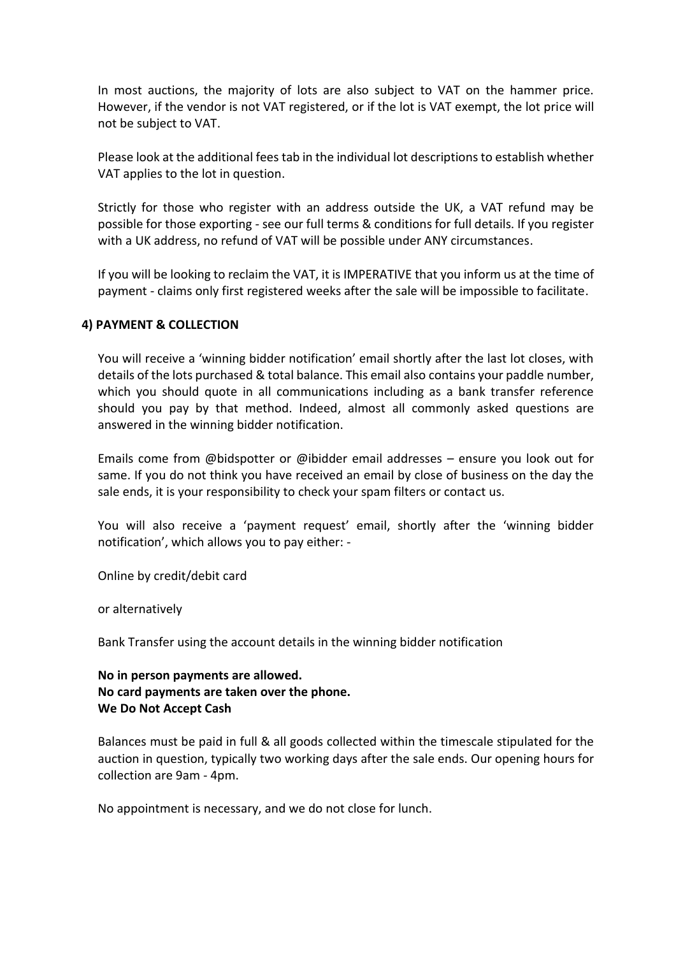In most auctions, the majority of lots are also subject to VAT on the hammer price. However, if the vendor is not VAT registered, or if the lot is VAT exempt, the lot price will not be subject to VAT.

Please look at the additional fees tab in the individual lot descriptions to establish whether VAT applies to the lot in question.

Strictly for those who register with an address outside the UK, a VAT refund may be possible for those exporting - see our full terms & conditions for full details. If you register with a UK address, no refund of VAT will be possible under ANY circumstances.

If you will be looking to reclaim the VAT, it is IMPERATIVE that you inform us at the time of payment - claims only first registered weeks after the sale will be impossible to facilitate.

#### **4) PAYMENT & COLLECTION**

You will receive a 'winning bidder notification' email shortly after the last lot closes, with details of the lots purchased & total balance. This email also contains your paddle number, which you should quote in all communications including as a bank transfer reference should you pay by that method. Indeed, almost all commonly asked questions are answered in the winning bidder notification.

Emails come from @bidspotter or @ibidder email addresses – ensure you look out for same. If you do not think you have received an email by close of business on the day the sale ends, it is your responsibility to check your spam filters or contact us.

You will also receive a 'payment request' email, shortly after the 'winning bidder notification', which allows you to pay either: -

Online by credit/debit card

or alternatively

Bank Transfer using the account details in the winning bidder notification

## **No in person payments are allowed. No card payments are taken over the phone. We Do Not Accept Cash**

Balances must be paid in full & all goods collected within the timescale stipulated for the auction in question, typically two working days after the sale ends. Our opening hours for collection are 9am - 4pm.

No appointment is necessary, and we do not close for lunch.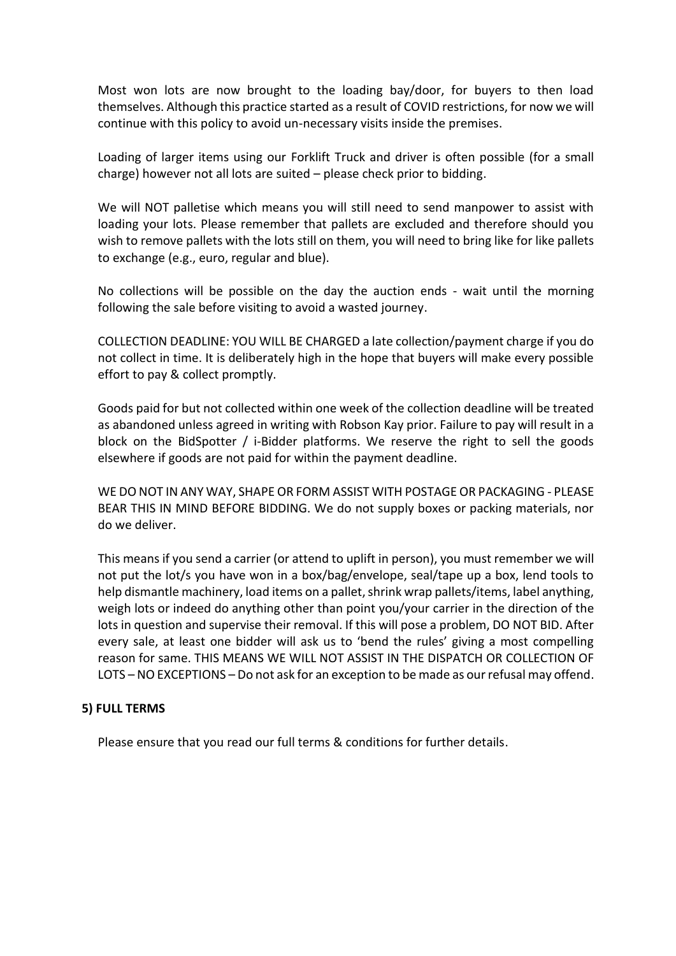Most won lots are now brought to the loading bay/door, for buyers to then load themselves. Although this practice started as a result of COVID restrictions, for now we will continue with this policy to avoid un-necessary visits inside the premises.

Loading of larger items using our Forklift Truck and driver is often possible (for a small charge) however not all lots are suited – please check prior to bidding.

We will NOT palletise which means you will still need to send manpower to assist with loading your lots. Please remember that pallets are excluded and therefore should you wish to remove pallets with the lots still on them, you will need to bring like for like pallets to exchange (e.g., euro, regular and blue).

No collections will be possible on the day the auction ends - wait until the morning following the sale before visiting to avoid a wasted journey.

COLLECTION DEADLINE: YOU WILL BE CHARGED a late collection/payment charge if you do not collect in time. It is deliberately high in the hope that buyers will make every possible effort to pay & collect promptly.

Goods paid for but not collected within one week of the collection deadline will be treated as abandoned unless agreed in writing with Robson Kay prior. Failure to pay will result in a block on the BidSpotter / i-Bidder platforms. We reserve the right to sell the goods elsewhere if goods are not paid for within the payment deadline.

WE DO NOT IN ANY WAY, SHAPE OR FORM ASSIST WITH POSTAGE OR PACKAGING - PLEASE BEAR THIS IN MIND BEFORE BIDDING. We do not supply boxes or packing materials, nor do we deliver.

This means if you send a carrier (or attend to uplift in person), you must remember we will not put the lot/s you have won in a box/bag/envelope, seal/tape up a box, lend tools to help dismantle machinery, load items on a pallet, shrink wrap pallets/items, label anything, weigh lots or indeed do anything other than point you/your carrier in the direction of the lots in question and supervise their removal. If this will pose a problem, DO NOT BID. After every sale, at least one bidder will ask us to 'bend the rules' giving a most compelling reason for same. THIS MEANS WE WILL NOT ASSIST IN THE DISPATCH OR COLLECTION OF LOTS – NO EXCEPTIONS – Do not ask for an exception to be made as our refusal may offend.

#### **5) FULL TERMS**

Please ensure that you read our full terms & conditions for further details.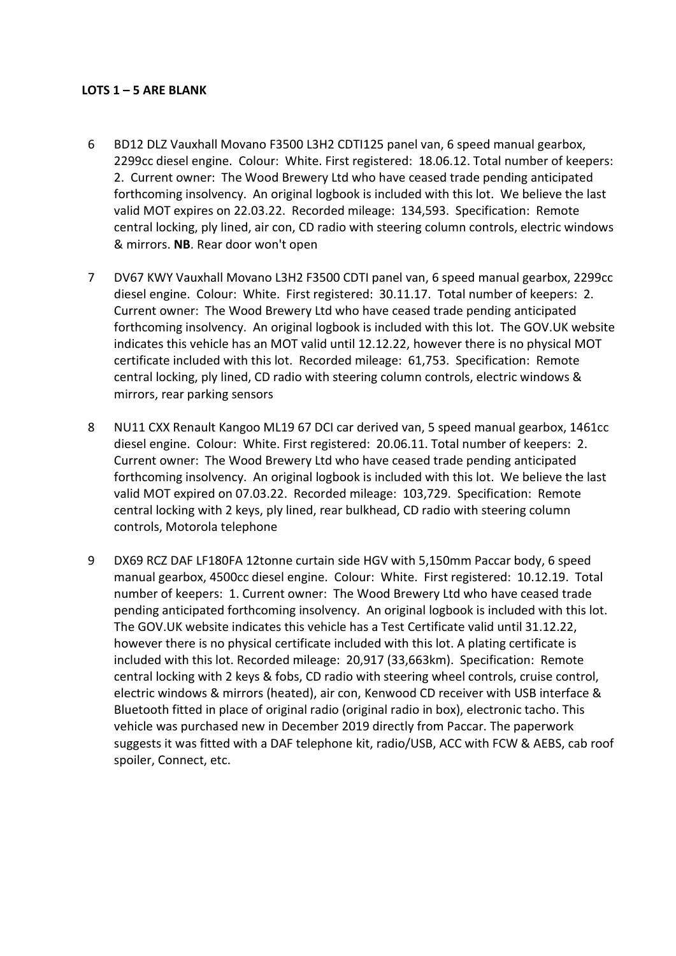#### **LOTS 1 – 5 ARE BLANK**

- 6 BD12 DLZ Vauxhall Movano F3500 L3H2 CDTI125 panel van, 6 speed manual gearbox, 2299cc diesel engine. Colour: White. First registered: 18.06.12. Total number of keepers: 2. Current owner: The Wood Brewery Ltd who have ceased trade pending anticipated forthcoming insolvency. An original logbook is included with this lot. We believe the last valid MOT expires on 22.03.22. Recorded mileage: 134,593. Specification: Remote central locking, ply lined, air con, CD radio with steering column controls, electric windows & mirrors. **NB**. Rear door won't open
- 7 DV67 KWY Vauxhall Movano L3H2 F3500 CDTI panel van, 6 speed manual gearbox, 2299cc diesel engine. Colour: White. First registered: 30.11.17. Total number of keepers: 2. Current owner: The Wood Brewery Ltd who have ceased trade pending anticipated forthcoming insolvency. An original logbook is included with this lot. The GOV.UK website indicates this vehicle has an MOT valid until 12.12.22, however there is no physical MOT certificate included with this lot. Recorded mileage: 61,753. Specification: Remote central locking, ply lined, CD radio with steering column controls, electric windows & mirrors, rear parking sensors
- 8 NU11 CXX Renault Kangoo ML19 67 DCI car derived van, 5 speed manual gearbox, 1461cc diesel engine. Colour: White. First registered: 20.06.11. Total number of keepers: 2. Current owner: The Wood Brewery Ltd who have ceased trade pending anticipated forthcoming insolvency. An original logbook is included with this lot. We believe the last valid MOT expired on 07.03.22. Recorded mileage: 103,729. Specification: Remote central locking with 2 keys, ply lined, rear bulkhead, CD radio with steering column controls, Motorola telephone
- 9 DX69 RCZ DAF LF180FA 12tonne curtain side HGV with 5,150mm Paccar body, 6 speed manual gearbox, 4500cc diesel engine. Colour: White. First registered: 10.12.19. Total number of keepers: 1. Current owner: The Wood Brewery Ltd who have ceased trade pending anticipated forthcoming insolvency. An original logbook is included with this lot. The GOV.UK website indicates this vehicle has a Test Certificate valid until 31.12.22, however there is no physical certificate included with this lot. A plating certificate is included with this lot. Recorded mileage: 20,917 (33,663km). Specification: Remote central locking with 2 keys & fobs, CD radio with steering wheel controls, cruise control, electric windows & mirrors (heated), air con, Kenwood CD receiver with USB interface & Bluetooth fitted in place of original radio (original radio in box), electronic tacho. This vehicle was purchased new in December 2019 directly from Paccar. The paperwork suggests it was fitted with a DAF telephone kit, radio/USB, ACC with FCW & AEBS, cab roof spoiler, Connect, etc.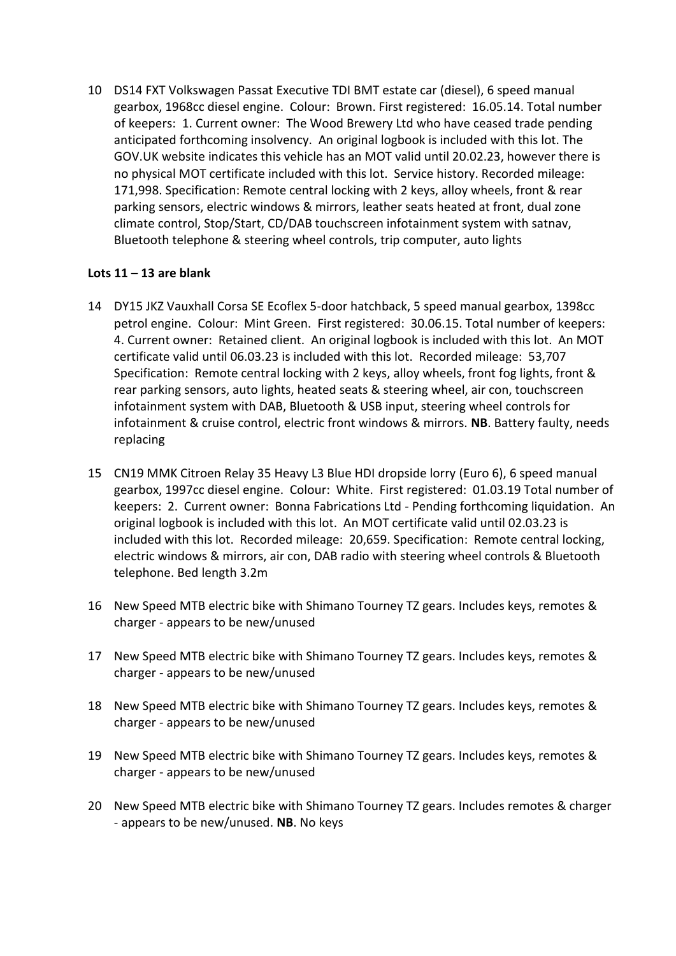10 DS14 FXT Volkswagen Passat Executive TDI BMT estate car (diesel), 6 speed manual gearbox, 1968cc diesel engine. Colour: Brown. First registered: 16.05.14. Total number of keepers: 1. Current owner: The Wood Brewery Ltd who have ceased trade pending anticipated forthcoming insolvency. An original logbook is included with this lot. The GOV.UK website indicates this vehicle has an MOT valid until 20.02.23, however there is no physical MOT certificate included with this lot. Service history. Recorded mileage: 171,998. Specification: Remote central locking with 2 keys, alloy wheels, front & rear parking sensors, electric windows & mirrors, leather seats heated at front, dual zone climate control, Stop/Start, CD/DAB touchscreen infotainment system with satnav, Bluetooth telephone & steering wheel controls, trip computer, auto lights

## **Lots 11 – 13 are blank**

- 14 DY15 JKZ Vauxhall Corsa SE Ecoflex 5-door hatchback, 5 speed manual gearbox, 1398cc petrol engine. Colour: Mint Green. First registered: 30.06.15. Total number of keepers: 4. Current owner: Retained client. An original logbook is included with this lot. An MOT certificate valid until 06.03.23 is included with this lot. Recorded mileage: 53,707 Specification: Remote central locking with 2 keys, alloy wheels, front fog lights, front & rear parking sensors, auto lights, heated seats & steering wheel, air con, touchscreen infotainment system with DAB, Bluetooth & USB input, steering wheel controls for infotainment & cruise control, electric front windows & mirrors. **NB**. Battery faulty, needs replacing
- 15 CN19 MMK Citroen Relay 35 Heavy L3 Blue HDI dropside lorry (Euro 6), 6 speed manual gearbox, 1997cc diesel engine. Colour: White. First registered: 01.03.19 Total number of keepers: 2. Current owner: Bonna Fabrications Ltd - Pending forthcoming liquidation. An original logbook is included with this lot. An MOT certificate valid until 02.03.23 is included with this lot. Recorded mileage: 20,659. Specification: Remote central locking, electric windows & mirrors, air con, DAB radio with steering wheel controls & Bluetooth telephone. Bed length 3.2m
- 16 New Speed MTB electric bike with Shimano Tourney TZ gears. Includes keys, remotes & charger - appears to be new/unused
- 17 New Speed MTB electric bike with Shimano Tourney TZ gears. Includes keys, remotes & charger - appears to be new/unused
- 18 New Speed MTB electric bike with Shimano Tourney TZ gears. Includes keys, remotes & charger - appears to be new/unused
- 19 New Speed MTB electric bike with Shimano Tourney TZ gears. Includes keys, remotes & charger - appears to be new/unused
- 20 New Speed MTB electric bike with Shimano Tourney TZ gears. Includes remotes & charger - appears to be new/unused. **NB**. No keys